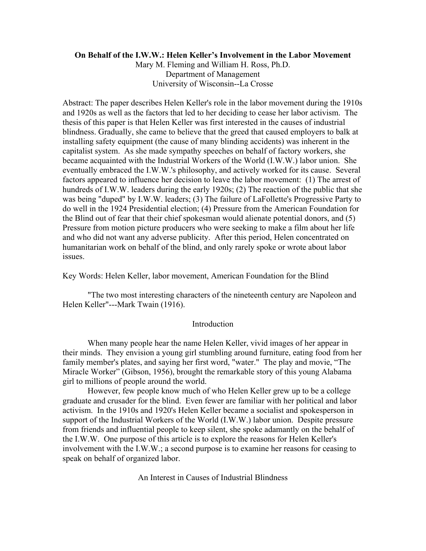## **On Behalf of the I.W.W.: Helen Keller's Involvement in the Labor Movement**

Mary M. Fleming and William H. Ross, Ph.D. Department of Management University of Wisconsin--La Crosse

Abstract: The paper describes Helen Keller's role in the labor movement during the 1910s and 1920s as well as the factors that led to her deciding to cease her labor activism. The thesis of this paper is that Helen Keller was first interested in the causes of industrial blindness. Gradually, she came to believe that the greed that caused employers to balk at installing safety equipment (the cause of many blinding accidents) was inherent in the capitalist system. As she made sympathy speeches on behalf of factory workers, she became acquainted with the Industrial Workers of the World (I.W.W.) labor union. She eventually embraced the I.W.W.'s philosophy, and actively worked for its cause. Several factors appeared to influence her decision to leave the labor movement: (1) The arrest of hundreds of I.W.W. leaders during the early 1920s; (2) The reaction of the public that she was being "duped" by I.W.W. leaders; (3) The failure of LaFollette's Progressive Party to do well in the 1924 Presidential election; (4) Pressure from the American Foundation for the Blind out of fear that their chief spokesman would alienate potential donors, and (5) Pressure from motion picture producers who were seeking to make a film about her life and who did not want any adverse publicity. After this period, Helen concentrated on humanitarian work on behalf of the blind, and only rarely spoke or wrote about labor issues.

Key Words: Helen Keller, labor movement, American Foundation for the Blind

"The two most interesting characters of the nineteenth century are Napoleon and Helen Keller"---Mark Twain (1916).

## Introduction

When many people hear the name Helen Keller, vivid images of her appear in their minds. They envision a young girl stumbling around furniture, eating food from her family member's plates, and saying her first word, "water." The play and movie, "The Miracle Worker" (Gibson, 1956), brought the remarkable story of this young Alabama girl to millions of people around the world.

However, few people know much of who Helen Keller grew up to be a college graduate and crusader for the blind. Even fewer are familiar with her political and labor activism. In the 1910s and 1920's Helen Keller became a socialist and spokesperson in support of the Industrial Workers of the World (I.W.W.) labor union. Despite pressure from friends and influential people to keep silent, she spoke adamantly on the behalf of the I.W.W. One purpose of this article is to explore the reasons for Helen Keller's involvement with the I.W.W.; a second purpose is to examine her reasons for ceasing to speak on behalf of organized labor.

An Interest in Causes of Industrial Blindness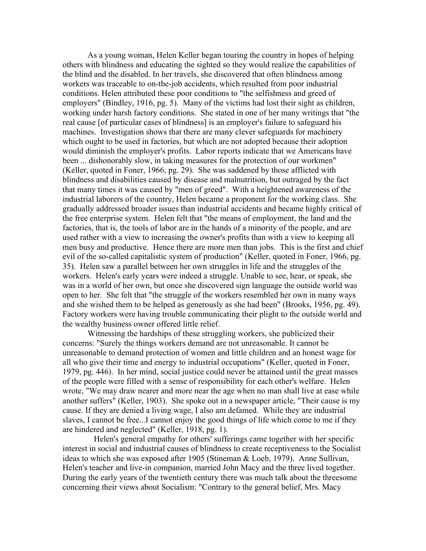As a young woman, Helen Keller began touring the country in hopes of helping others with blindness and educating the sighted so they would realize the capabilities of the blind and the disabled. In her travels, she discovered that often blindness among workers was traceable to on-the-job accidents, which resulted from poor industrial conditions. Helen attributed these poor conditions to "the selfishness and greed of employers" (Bindley, 1916, pg. 5). Many of the victims had lost their sight as children, working under harsh factory conditions. She stated in one of her many writings that "the real cause [of particular cases of blindness] is an employer's failure to safeguard his machines. Investigation shows that there are many clever safeguards for machinery which ought to be used in factories, but which are not adopted because their adoption would diminish the employer's profits. Labor reports indicate that we Americans have been ... dishonorably slow, in taking measures for the protection of our workmen" (Keller, quoted in Foner, 1966, pg. 29). She was saddened by those afflicted with blindness and disabilities caused by disease and malnutrition, but outraged by the fact that many times it was caused by "men of greed". With a heightened awareness of the industrial laborers of the country, Helen became a proponent for the working class. She gradually addressed broader issues than industrial accidents and became highly critical of the free enterprise system. Helen felt that "the means of employment, the land and the factories, that is, the tools of labor are in the hands of a minority of the people, and are used rather with a view to increasing the owner's profits than with a view to keeping all men busy and productive. Hence there are more men than jobs. This is the first and chief evil of the so-called capitalistic system of production" (Keller, quoted in Foner, 1966, pg. 35). Helen saw a parallel between her own struggles in life and the struggles of the workers. Helen's early years were indeed a struggle. Unable to see, hear, or speak, she was in a world of her own, but once she discovered sign language the outside world was open to her. She felt that "the struggle of the workers resembled her own in many ways and she wished them to be helped as generously as she had been" (Brooks, 1956, pg. 49). Factory workers were having trouble communicating their plight to the outside world and the wealthy business owner offered little relief.

Witnessing the hardships of these struggling workers, she publicized their concerns: "Surely the things workers demand are not unreasonable. It cannot be unreasonable to demand protection of women and little children and an honest wage for all who give their time and energy to industrial occupations" (Keller, quoted in Foner, 1979, pg. 446). In her mind, social justice could never be attained until the great masses of the people were filled with a sense of responsibility for each other's welfare. Helen wrote, "We may draw nearer and more near the age when no man shall live at ease while another suffers" (Keller, 1903). She spoke out in a newspaper article, "Their cause is my cause. If they are denied a living wage, I also am defamed. While they are industrial slaves, I cannot be free...I cannot enjoy the good things of life which come to me if they are hindered and neglected" (Keller, 1918, pg. 1).

 Helen's general empathy for others' sufferings came together with her specific interest in social and industrial causes of blindness to create receptiveness to the Socialist ideas to which she was exposed after 1905 (Stineman & Loeb, 1979). Anne Sullivan, Helen's teacher and live-in companion, married John Macy and the three lived together. During the early years of the twentieth century there was much talk about the threesome concerning their views about Socialism: "Contrary to the general belief, Mrs. Macy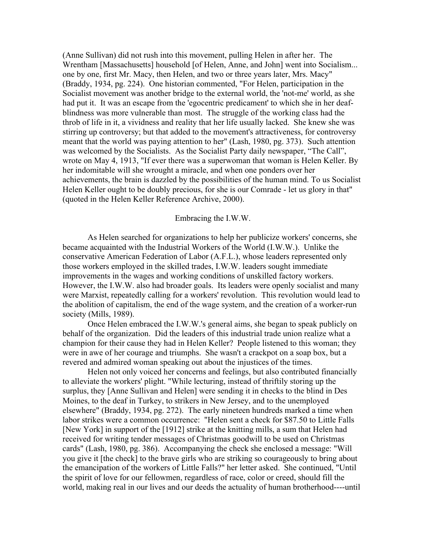(Anne Sullivan) did not rush into this movement, pulling Helen in after her. The Wrentham [Massachusetts] household [of Helen, Anne, and John] went into Socialism... one by one, first Mr. Macy, then Helen, and two or three years later, Mrs. Macy" (Braddy, 1934, pg. 224). One historian commented, "For Helen, participation in the Socialist movement was another bridge to the external world, the 'not-me' world, as she had put it. It was an escape from the 'egocentric predicament' to which she in her deafblindness was more vulnerable than most. The struggle of the working class had the throb of life in it, a vividness and reality that her life usually lacked. She knew she was stirring up controversy; but that added to the movement's attractiveness, for controversy meant that the world was paying attention to her" (Lash, 1980, pg. 373). Such attention was welcomed by the Socialists. As the Socialist Party daily newspaper, "The Call", wrote on May 4, 1913, "If ever there was a superwoman that woman is Helen Keller. By her indomitable will she wrought a miracle, and when one ponders over her achievements, the brain is dazzled by the possibilities of the human mind. To us Socialist Helen Keller ought to be doubly precious, for she is our Comrade - let us glory in that" (quoted in the Helen Keller Reference Archive, 2000).

# Embracing the I.W.W.

As Helen searched for organizations to help her publicize workers' concerns, she became acquainted with the Industrial Workers of the World (I.W.W.). Unlike the conservative American Federation of Labor (A.F.L.), whose leaders represented only those workers employed in the skilled trades, I.W.W. leaders sought immediate improvements in the wages and working conditions of unskilled factory workers. However, the I.W.W. also had broader goals. Its leaders were openly socialist and many were Marxist, repeatedly calling for a workers' revolution. This revolution would lead to the abolition of capitalism, the end of the wage system, and the creation of a worker-run society (Mills, 1989).

Once Helen embraced the I.W.W.'s general aims, she began to speak publicly on behalf of the organization. Did the leaders of this industrial trade union realize what a champion for their cause they had in Helen Keller? People listened to this woman; they were in awe of her courage and triumphs. She wasn't a crackpot on a soap box, but a revered and admired woman speaking out about the injustices of the times.

Helen not only voiced her concerns and feelings, but also contributed financially to alleviate the workers' plight. "While lecturing, instead of thriftily storing up the surplus, they [Anne Sullivan and Helen] were sending it in checks to the blind in Des Moines, to the deaf in Turkey, to strikers in New Jersey, and to the unemployed elsewhere" (Braddy, 1934, pg. 272). The early nineteen hundreds marked a time when labor strikes were a common occurrence: "Helen sent a check for \$87.50 to Little Falls [New York] in support of the [1912] strike at the knitting mills, a sum that Helen had received for writing tender messages of Christmas goodwill to be used on Christmas cards" (Lash, 1980, pg. 386). Accompanying the check she enclosed a message: "Will you give it [the check] to the brave girls who are striking so courageously to bring about the emancipation of the workers of Little Falls?" her letter asked. She continued, "Until the spirit of love for our fellowmen, regardless of race, color or creed, should fill the world, making real in our lives and our deeds the actuality of human brotherhood----until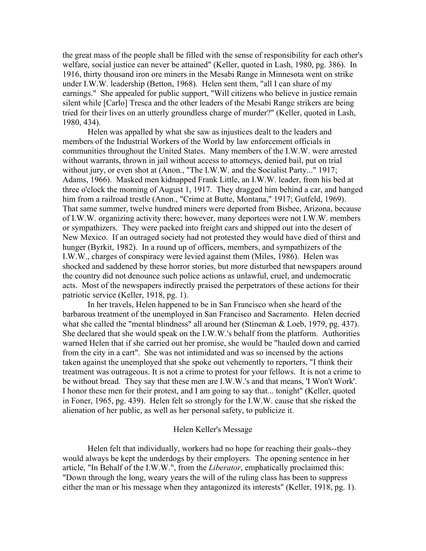the great mass of the people shall be filled with the sense of responsibility for each other's welfare, social justice can never be attained" (Keller, quoted in Lash, 1980, pg. 386). In 1916, thirty thousand iron ore miners in the Mesabi Range in Minnesota went on strike under I.W.W. leadership (Betton, 1968). Helen sent them, "all I can share of my earnings." She appealed for public support, "Will citizens who believe in justice remain silent while [Carlo] Tresca and the other leaders of the Mesabi Range strikers are being tried for their lives on an utterly groundless charge of murder?" (Keller, quoted in Lash, 1980, 434).

Helen was appalled by what she saw as injustices dealt to the leaders and members of the Industrial Workers of the World by law enforcement officials in communities throughout the United States. Many members of the I.W.W. were arrested without warrants, thrown in jail without access to attorneys, denied bail, put on trial without jury, or even shot at (Anon., "The I.W.W. and the Socialist Party..." 1917; Adams, 1966). Masked men kidnapped Frank Little, an I.W.W. leader, from his bed at three o'clock the morning of August 1, 1917. They dragged him behind a car, and hanged him from a railroad trestle (Anon., "Crime at Butte, Montana," 1917; Gutfeld, 1969). That same summer, twelve hundred miners were deported from Bisbee, Arizona, because of I.W.W. organizing activity there; however, many deportees were not I.W.W. members or sympathizers. They were packed into freight cars and shipped out into the desert of New Mexico. If an outraged society had not protested they would have died of thirst and hunger (Byrkit, 1982). In a round up of officers, members, and sympathizers of the I.W.W., charges of conspiracy were levied against them (Miles, 1986). Helen was shocked and saddened by these horror stories, but more disturbed that newspapers around the country did not denounce such police actions as unlawful, cruel, and undemocratic acts. Most of the newspapers indirectly praised the perpetrators of these actions for their patriotic service (Keller, 1918, pg. 1).

In her travels, Helen happened to be in San Francisco when she heard of the barbarous treatment of the unemployed in San Francisco and Sacramento. Helen decried what she called the "mental blindness" all around her (Stineman & Loeb, 1979, pg. 437). She declared that she would speak on the I.W.W.'s behalf from the platform. Authorities warned Helen that if she carried out her promise, she would be "hauled down and carried from the city in a cart". She was not intimidated and was so incensed by the actions taken against the unemployed that she spoke out vehemently to reporters, "I think their treatment was outrageous. It is not a crime to protest for your fellows. It is not a crime to be without bread. They say that these men are I.W.W.'s and that means, 'I Won't Work'. I honor these men for their protest, and I am going to say that... tonight" (Keller, quoted in Foner, 1965, pg. 439). Helen felt so strongly for the I.W.W. cause that she risked the alienation of her public, as well as her personal safety, to publicize it.

### Helen Keller's Message

Helen felt that individually, workers had no hope for reaching their goals--they would always be kept the underdogs by their employers. The opening sentence in her article, "In Behalf of the I.W.W.", from the *Liberator*, emphatically proclaimed this: "Down through the long, weary years the will of the ruling class has been to suppress either the man or his message when they antagonized its interests" (Keller, 1918, pg. 1).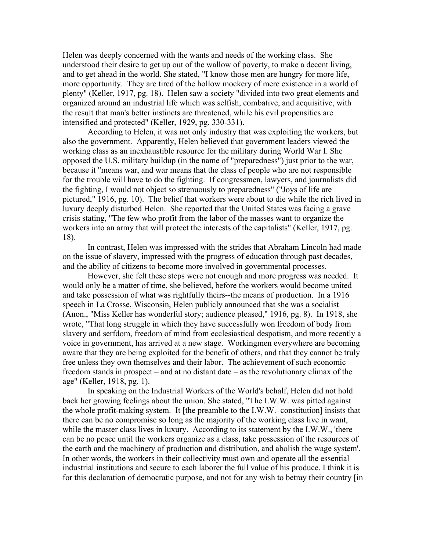Helen was deeply concerned with the wants and needs of the working class. She understood their desire to get up out of the wallow of poverty, to make a decent living, and to get ahead in the world. She stated, "I know those men are hungry for more life, more opportunity. They are tired of the hollow mockery of mere existence in a world of plenty" (Keller, 1917, pg. 18). Helen saw a society "divided into two great elements and organized around an industrial life which was selfish, combative, and acquisitive, with the result that man's better instincts are threatened, while his evil propensities are intensified and protected" (Keller, 1929, pg. 330-331).

According to Helen, it was not only industry that was exploiting the workers, but also the government. Apparently, Helen believed that government leaders viewed the working class as an inexhaustible resource for the military during World War I. She opposed the U.S. military buildup (in the name of "preparedness") just prior to the war, because it "means war, and war means that the class of people who are not responsible for the trouble will have to do the fighting. If congressmen, lawyers, and journalists did the fighting, I would not object so strenuously to preparedness" ("Joys of life are pictured," 1916, pg. 10). The belief that workers were about to die while the rich lived in luxury deeply disturbed Helen. She reported that the United States was facing a grave crisis stating, "The few who profit from the labor of the masses want to organize the workers into an army that will protect the interests of the capitalists" (Keller, 1917, pg. 18).

In contrast, Helen was impressed with the strides that Abraham Lincoln had made on the issue of slavery, impressed with the progress of education through past decades, and the ability of citizens to become more involved in governmental processes.

However, she felt these steps were not enough and more progress was needed. It would only be a matter of time, she believed, before the workers would become united and take possession of what was rightfully theirs--the means of production. In a 1916 speech in La Crosse, Wisconsin, Helen publicly announced that she was a socialist (Anon., "Miss Keller has wonderful story; audience pleased," 1916, pg. 8). In 1918, she wrote, "That long struggle in which they have successfully won freedom of body from slavery and serfdom, freedom of mind from ecclesiastical despotism, and more recently a voice in government, has arrived at a new stage. Workingmen everywhere are becoming aware that they are being exploited for the benefit of others, and that they cannot be truly free unless they own themselves and their labor. The achievement of such economic freedom stands in prospect – and at no distant date – as the revolutionary climax of the age" (Keller, 1918, pg. 1).

In speaking on the Industrial Workers of the World's behalf, Helen did not hold back her growing feelings about the union. She stated, "The I.W.W. was pitted against the whole profit-making system. It [the preamble to the I.W.W. constitution] insists that there can be no compromise so long as the majority of the working class live in want, while the master class lives in luxury. According to its statement by the I.W.W., 'there can be no peace until the workers organize as a class, take possession of the resources of the earth and the machinery of production and distribution, and abolish the wage system'. In other words, the workers in their collectivity must own and operate all the essential industrial institutions and secure to each laborer the full value of his produce. I think it is for this declaration of democratic purpose, and not for any wish to betray their country [in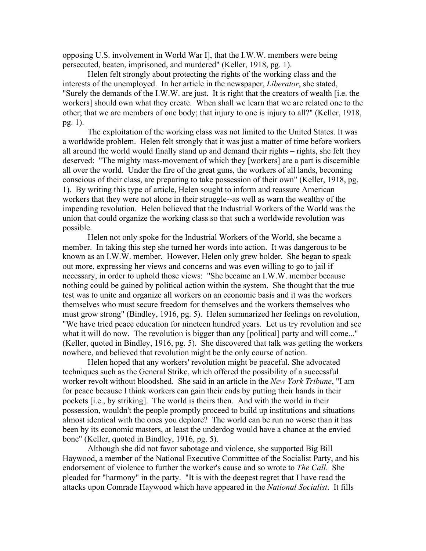opposing U.S. involvement in World War I], that the I.W.W. members were being persecuted, beaten, imprisoned, and murdered" (Keller, 1918, pg. 1).

Helen felt strongly about protecting the rights of the working class and the interests of the unemployed. In her article in the newspaper, *Liberator*, she stated, "Surely the demands of the I.W.W. are just. It is right that the creators of wealth [i.e. the workers] should own what they create. When shall we learn that we are related one to the other; that we are members of one body; that injury to one is injury to all?" (Keller, 1918, pg. 1).

The exploitation of the working class was not limited to the United States. It was a worldwide problem. Helen felt strongly that it was just a matter of time before workers all around the world would finally stand up and demand their rights – rights, she felt they deserved: "The mighty mass-movement of which they [workers] are a part is discernible all over the world. Under the fire of the great guns, the workers of all lands, becoming conscious of their class, are preparing to take possession of their own" (Keller, 1918, pg. 1). By writing this type of article, Helen sought to inform and reassure American workers that they were not alone in their struggle--as well as warn the wealthy of the impending revolution. Helen believed that the Industrial Workers of the World was the union that could organize the working class so that such a worldwide revolution was possible.

Helen not only spoke for the Industrial Workers of the World, she became a member. In taking this step she turned her words into action. It was dangerous to be known as an I.W.W. member. However, Helen only grew bolder. She began to speak out more, expressing her views and concerns and was even willing to go to jail if necessary, in order to uphold those views: "She became an I.W.W. member because nothing could be gained by political action within the system. She thought that the true test was to unite and organize all workers on an economic basis and it was the workers themselves who must secure freedom for themselves and the workers themselves who must grow strong" (Bindley, 1916, pg. 5). Helen summarized her feelings on revolution, "We have tried peace education for nineteen hundred years. Let us try revolution and see what it will do now. The revolution is bigger than any [political] party and will come..." (Keller, quoted in Bindley, 1916, pg. 5). She discovered that talk was getting the workers nowhere, and believed that revolution might be the only course of action.

Helen hoped that any workers' revolution might be peaceful. She advocated techniques such as the General Strike, which offered the possibility of a successful worker revolt without bloodshed. She said in an article in the *New York Tribune*, "I am for peace because I think workers can gain their ends by putting their hands in their pockets [i.e., by striking]. The world is theirs then. And with the world in their possession, wouldn't the people promptly proceed to build up institutions and situations almost identical with the ones you deplore? The world can be run no worse than it has been by its economic masters, at least the underdog would have a chance at the envied bone" (Keller, quoted in Bindley, 1916, pg. 5).

Although she did not favor sabotage and violence, she supported Big Bill Haywood, a member of the National Executive Committee of the Socialist Party, and his endorsement of violence to further the worker's cause and so wrote to *The Call*. She pleaded for "harmony" in the party. "It is with the deepest regret that I have read the attacks upon Comrade Haywood which have appeared in the *National Socialist*. It fills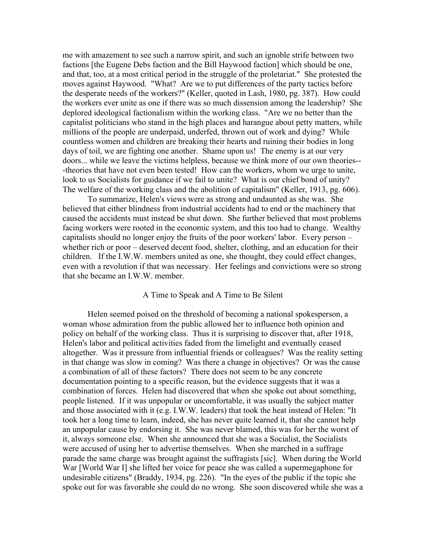me with amazement to see such a narrow spirit, and such an ignoble strife between two factions [the Eugene Debs faction and the Bill Haywood faction] which should be one, and that, too, at a most critical period in the struggle of the proletariat." She protested the moves against Haywood. "What? Are we to put differences of the party tactics before the desperate needs of the workers?" (Keller, quoted in Lash, 1980, pg. 387). How could the workers ever unite as one if there was so much dissension among the leadership? She deplored ideological factionalism within the working class. "Are we no better than the capitalist politicians who stand in the high places and harangue about petty matters, while millions of the people are underpaid, underfed, thrown out of work and dying? While countless women and children are breaking their hearts and ruining their bodies in long days of toil, we are fighting one another. Shame upon us! The enemy is at our very doors... while we leave the victims helpless, because we think more of our own theories-- -theories that have not even been tested! How can the workers, whom we urge to unite, look to us Socialists for guidance if we fail to unite? What is our chief bond of unity? The welfare of the working class and the abolition of capitalism" (Keller, 1913, pg. 606).

To summarize, Helen's views were as strong and undaunted as she was. She believed that either blindness from industrial accidents had to end or the machinery that caused the accidents must instead be shut down. She further believed that most problems facing workers were rooted in the economic system, and this too had to change. Wealthy capitalists should no longer enjoy the fruits of the poor workers' labor. Every person – whether rich or poor – deserved decent food, shelter, clothing, and an education for their children. If the I.W.W. members united as one, she thought, they could effect changes, even with a revolution if that was necessary. Her feelings and convictions were so strong that she became an I.W.W. member.

#### A Time to Speak and A Time to Be Silent

Helen seemed poised on the threshold of becoming a national spokesperson, a woman whose admiration from the public allowed her to influence both opinion and policy on behalf of the working class. Thus it is surprising to discover that, after 1918, Helen's labor and political activities faded from the limelight and eventually ceased altogether. Was it pressure from influential friends or colleagues? Was the reality setting in that change was slow in coming? Was there a change in objectives? Or was the cause a combination of all of these factors? There does not seem to be any concrete documentation pointing to a specific reason, but the evidence suggests that it was a combination of forces. Helen had discovered that when she spoke out about something, people listened. If it was unpopular or uncomfortable, it was usually the subject matter and those associated with it (e.g. I.W.W. leaders) that took the heat instead of Helen: "It took her a long time to learn, indeed, she has never quite learned it, that she cannot help an unpopular cause by endorsing it. She was never blamed, this was for her the worst of it, always someone else. When she announced that she was a Socialist, the Socialists were accused of using her to advertise themselves. When she marched in a suffrage parade the same charge was brought against the suffragists [sic]. When during the World War [World War I] she lifted her voice for peace she was called a supermegaphone for undesirable citizens" (Braddy, 1934, pg. 226). "In the eyes of the public if the topic she spoke out for was favorable she could do no wrong. She soon discovered while she was a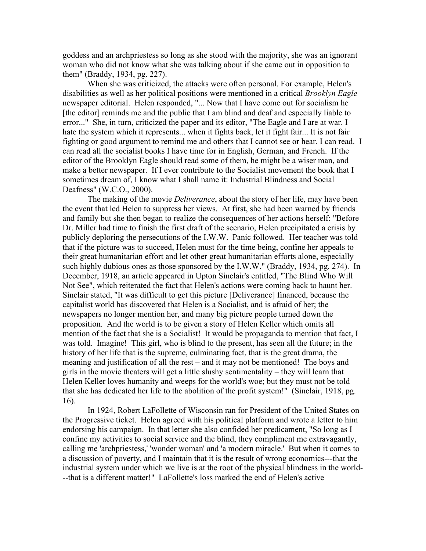goddess and an archpriestess so long as she stood with the majority, she was an ignorant woman who did not know what she was talking about if she came out in opposition to them" (Braddy, 1934, pg. 227).

When she was criticized, the attacks were often personal. For example, Helen's disabilities as well as her political positions were mentioned in a critical *Brooklyn Eagle* newspaper editorial. Helen responded, "... Now that I have come out for socialism he [the editor] reminds me and the public that I am blind and deaf and especially liable to error..." She, in turn, criticized the paper and its editor, "The Eagle and I are at war. I hate the system which it represents... when it fights back, let it fight fair... It is not fair fighting or good argument to remind me and others that I cannot see or hear. I can read. I can read all the socialist books I have time for in English, German, and French. If the editor of the Brooklyn Eagle should read some of them, he might be a wiser man, and make a better newspaper. If I ever contribute to the Socialist movement the book that I sometimes dream of, I know what I shall name it: Industrial Blindness and Social Deafness" (W.C.O., 2000).

The making of the movie *Deliverance*, about the story of her life, may have been the event that led Helen to suppress her views. At first, she had been warned by friends and family but she then began to realize the consequences of her actions herself: "Before Dr. Miller had time to finish the first draft of the scenario, Helen precipitated a crisis by publicly deploring the persecutions of the I.W.W. Panic followed. Her teacher was told that if the picture was to succeed, Helen must for the time being, confine her appeals to their great humanitarian effort and let other great humanitarian efforts alone, especially such highly dubious ones as those sponsored by the I.W.W." (Braddy, 1934, pg. 274). In December, 1918, an article appeared in Upton Sinclair's entitled, "The Blind Who Will Not See", which reiterated the fact that Helen's actions were coming back to haunt her. Sinclair stated, "It was difficult to get this picture [Deliverance] financed, because the capitalist world has discovered that Helen is a Socialist, and is afraid of her; the newspapers no longer mention her, and many big picture people turned down the proposition. And the world is to be given a story of Helen Keller which omits all mention of the fact that she is a Socialist! It would be propaganda to mention that fact, I was told. Imagine! This girl, who is blind to the present, has seen all the future; in the history of her life that is the supreme, culminating fact, that is the great drama, the meaning and justification of all the rest – and it may not be mentioned! The boys and girls in the movie theaters will get a little slushy sentimentality – they will learn that Helen Keller loves humanity and weeps for the world's woe; but they must not be told that she has dedicated her life to the abolition of the profit system!" (Sinclair, 1918, pg. 16).

In 1924, Robert LaFollette of Wisconsin ran for President of the United States on the Progressive ticket. Helen agreed with his political platform and wrote a letter to him endorsing his campaign. In that letter she also confided her predicament, "So long as I confine my activities to social service and the blind, they compliment me extravagantly, calling me 'archpriestess,' 'wonder woman' and 'a modern miracle.' But when it comes to a discussion of poverty, and I maintain that it is the result of wrong economics---that the industrial system under which we live is at the root of the physical blindness in the world- --that is a different matter!" LaFollette's loss marked the end of Helen's active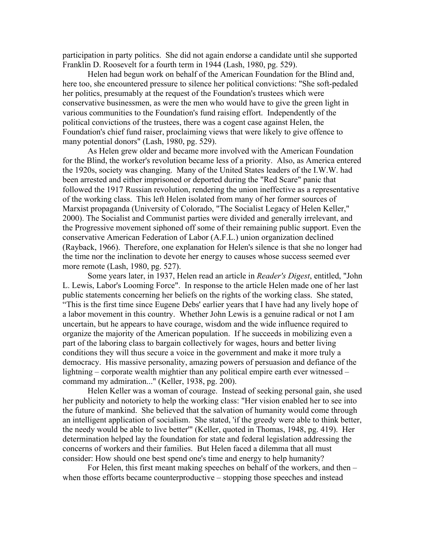participation in party politics. She did not again endorse a candidate until she supported Franklin D. Roosevelt for a fourth term in 1944 (Lash, 1980, pg. 529).

Helen had begun work on behalf of the American Foundation for the Blind and, here too, she encountered pressure to silence her political convictions: "She soft-pedaled her politics, presumably at the request of the Foundation's trustees which were conservative businessmen, as were the men who would have to give the green light in various communities to the Foundation's fund raising effort. Independently of the political convictions of the trustees, there was a cogent case against Helen, the Foundation's chief fund raiser, proclaiming views that were likely to give offence to many potential donors" (Lash, 1980, pg. 529).

As Helen grew older and became more involved with the American Foundation for the Blind, the worker's revolution became less of a priority. Also, as America entered the 1920s, society was changing. Many of the United States leaders of the I.W.W. had been arrested and either imprisoned or deported during the "Red Scare" panic that followed the 1917 Russian revolution, rendering the union ineffective as a representative of the working class. This left Helen isolated from many of her former sources of Marxist propaganda (University of Colorado, "The Socialist Legacy of Helen Keller," 2000). The Socialist and Communist parties were divided and generally irrelevant, and the Progressive movement siphoned off some of their remaining public support. Even the conservative American Federation of Labor (A.F.L.) union organization declined (Rayback, 1966). Therefore, one explanation for Helen's silence is that she no longer had the time nor the inclination to devote her energy to causes whose success seemed ever more remote (Lash, 1980, pg. 527).

Some years later, in 1937, Helen read an article in *Reader's Digest*, entitled, "John L. Lewis, Labor's Looming Force". In response to the article Helen made one of her last public statements concerning her beliefs on the rights of the working class. She stated, "This is the first time since Eugene Debs' earlier years that I have had any lively hope of a labor movement in this country. Whether John Lewis is a genuine radical or not I am uncertain, but he appears to have courage, wisdom and the wide influence required to organize the majority of the American population. If he succeeds in mobilizing even a part of the laboring class to bargain collectively for wages, hours and better living conditions they will thus secure a voice in the government and make it more truly a democracy. His massive personality, amazing powers of persuasion and defiance of the lightning – corporate wealth mightier than any political empire earth ever witnessed – command my admiration..." (Keller, 1938, pg. 200).

Helen Keller was a woman of courage. Instead of seeking personal gain, she used her publicity and notoriety to help the working class: "Her vision enabled her to see into the future of mankind. She believed that the salvation of humanity would come through an intelligent application of socialism. She stated, 'if the greedy were able to think better, the needy would be able to live better'" (Keller, quoted in Thomas, 1948, pg. 419). Her determination helped lay the foundation for state and federal legislation addressing the concerns of workers and their families. But Helen faced a dilemma that all must consider: How should one best spend one's time and energy to help humanity?

For Helen, this first meant making speeches on behalf of the workers, and then – when those efforts became counterproductive – stopping those speeches and instead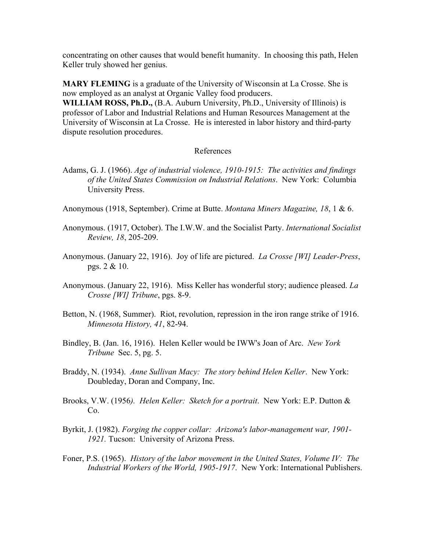concentrating on other causes that would benefit humanity. In choosing this path, Helen Keller truly showed her genius.

**MARY FLEMING** is a graduate of the University of Wisconsin at La Crosse. She is now employed as an analyst at Organic Valley food producers.

**WILLIAM ROSS, Ph.D.,** (B.A. Auburn University, Ph.D., University of Illinois) is professor of Labor and Industrial Relations and Human Resources Management at the University of Wisconsin at La Crosse. He is interested in labor history and third-party dispute resolution procedures.

## References

- Adams, G. J. (1966). *Age of industrial violence, 1910-1915: The activities and findings of the United States Commission on Industrial Relations*. New York: Columbia University Press.
- Anonymous (1918, September). Crime at Butte. *Montana Miners Magazine, 18*, 1 & 6.
- Anonymous. (1917, October). The I.W.W. and the Socialist Party. *International Socialist Review, 18*, 205-209.
- Anonymous. (January 22, 1916). Joy of life are pictured. *La Crosse [WI] Leader-Press*, pgs. 2 & 10.
- Anonymous. (January 22, 1916). Miss Keller has wonderful story; audience pleased. *La Crosse [WI] Tribune*, pgs. 8-9.
- Betton, N. (1968, Summer). Riot, revolution, repression in the iron range strike of 1916. *Minnesota History, 41*, 82-94.
- Bindley, B. (Jan. 16, 1916). Helen Keller would be IWW's Joan of Arc. *New York Tribune* Sec. 5, pg. 5.
- Braddy, N. (1934). *Anne Sullivan Macy: The story behind Helen Keller*. New York: Doubleday, Doran and Company, Inc.
- Brooks, V.W. (1956*). Helen Keller: Sketch for a portrait*. New York: E.P. Dutton & Co.
- Byrkit, J. (1982). *Forging the copper collar: Arizona's labor-management war, 1901- 1921.* Tucson: University of Arizona Press.
- Foner, P.S. (1965). *History of the labor movement in the United States, Volume IV: The Industrial Workers of the World, 1905-1917*. New York: International Publishers.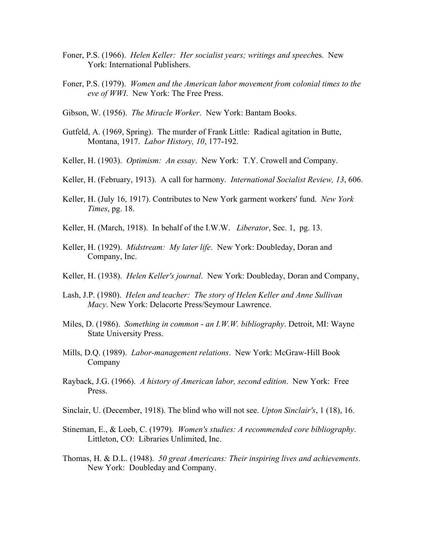- Foner, P.S. (1966). *Helen Keller: Her socialist years; writings and speech*es. New York: International Publishers.
- Foner, P.S. (1979). *Women and the American labor movement from colonial times to the eve of WWI*. New York: The Free Press.
- Gibson, W. (1956). *The Miracle Worker*. New York: Bantam Books.
- Gutfeld, A. (1969, Spring). The murder of Frank Little: Radical agitation in Butte, Montana, 1917. *Labor History, 10*, 177-192.
- Keller, H. (1903). *Optimism: An essay*. New York: T.Y. Crowell and Company.
- Keller, H. (February, 1913). A call for harmony. *International Socialist Review, 13*, 606.
- Keller, H. (July 16, 1917). Contributes to New York garment workers' fund. *New York Times*, pg. 18.
- Keller, H. (March, 1918). In behalf of the I.W.W. *Liberator*, Sec. 1, pg. 13.
- Keller, H. (1929). *Midstream: My later life*. New York: Doubleday, Doran and Company, Inc.
- Keller, H. (1938). *Helen Keller's journal*. New York: Doubleday, Doran and Company,
- Lash, J.P. (1980). *Helen and teacher: The story of Helen Keller and Anne Sullivan Macy*. New York: Delacorte Press/Seymour Lawrence.
- Miles, D. (1986). *Something in common an I.W.W. bibliography*. Detroit, MI: Wayne State University Press.
- Mills, D.Q. (1989). *Labor-management relations*. New York: McGraw-Hill Book Company
- Rayback, J.G. (1966). *A history of American labor, second edition*. New York: Free Press.
- Sinclair, U. (December, 1918). The blind who will not see. *Upton Sinclair's*, 1 (18), 16.
- Stineman, E., & Loeb, C. (1979). *Women's studies: A recommended core bibliography*. Littleton, CO: Libraries Unlimited, Inc.
- Thomas, H. & D.L. (1948). *50 great Americans: Their inspiring lives and achievements*. New York: Doubleday and Company.